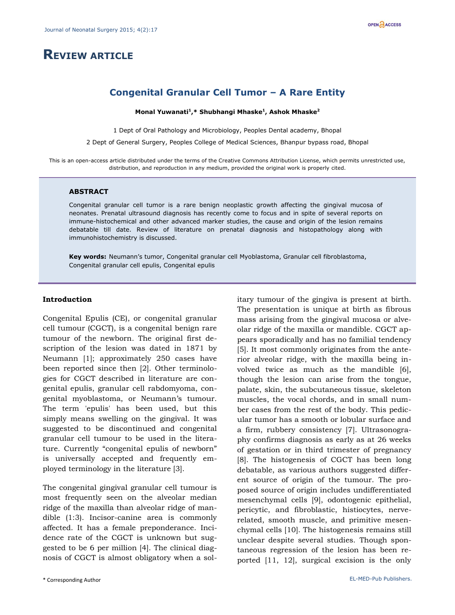# **REVIEW ARTICLE**

## **Congenital Granular Cell Tumor – A Rare Entity**

**Monal Yuwanati<sup>1</sup> ,\* Shubhangi Mhaske<sup>1</sup> , Ashok Mhaske<sup>2</sup>** 

1 Dept of Oral Pathology and Microbiology, Peoples Dental academy, Bhopal

2 Dept of General Surgery, Peoples College of Medical Sciences, Bhanpur bypass road, Bhopal

This is an open-access article distributed under the terms of the Creative Commons Attribution License, which permits unrestricted use, distribution, and reproduction in any medium, provided the original work is properly cited.

#### **ABSTRACT**

Congenital granular cell tumor is a rare benign neoplastic growth affecting the gingival mucosa of neonates. Prenatal ultrasound diagnosis has recently come to focus and in spite of several reports on immune-histochemical and other advanced marker studies, the cause and origin of the lesion remains debatable till date. Review of literature on prenatal diagnosis and histopathology along with immunohistochemistry is discussed.

**Key words:** Neumann's tumor, Congenital granular cell Myoblastoma, Granular cell fibroblastoma, Congenital granular cell epulis, Congenital epulis

#### **Introduction**

Congenital Epulis (CE), or congenital granular cell tumour (CGCT), is a congenital benign rare tumour of the newborn. The original first description of the lesion was dated in 1871 by Neumann [1]; approximately 250 cases have been reported since then [2]. Other terminologies for CGCT described in literature are congenital epulis, granular cell rabdomyoma, congenital myoblastoma, or Neumann's tumour. The term 'epulis' has been used, but this simply means swelling on the gingival. It was suggested to be discontinued and congenital granular cell tumour to be used in the literature. Currently "congenital epulis of newborn" is universally accepted and frequently employed terminology in the literature [3].

The congenital gingival granular cell tumour is most frequently seen on the alveolar median ridge of the maxilla than alveolar ridge of mandible (1:3). Incisor-canine area is commonly affected. It has a female preponderance. Incidence rate of the CGCT is unknown but suggested to be 6 per million [4]. The clinical diagnosis of CGCT is almost obligatory when a solitary tumour of the gingiva is present at birth. The presentation is unique at birth as fibrous mass arising from the gingival mucosa or alveolar ridge of the maxilla or mandible. CGCT appears sporadically and has no familial tendency [5]. It most commonly originates from the anterior alveolar ridge, with the maxilla being involved twice as much as the mandible [6], though the lesion can arise from the tongue, palate, skin, the subcutaneous tissue, skeleton muscles, the vocal chords, and in small number cases from the rest of the body. This pedicular tumor has a smooth or lobular surface and a firm, rubbery consistency [7]. Ultrasonography confirms diagnosis as early as at 26 weeks of gestation or in third trimester of pregnancy [8]. The histogenesis of CGCT has been long debatable, as various authors suggested different source of origin of the tumour. The proposed source of origin includes undifferentiated mesenchymal cells [9], odontogenic epithelial, pericytic, and fibroblastic, histiocytes, nerverelated, smooth muscle, and primitive mesenchymal cells [10]. The histogenesis remains still unclear despite several studies. Though spontaneous regression of the lesion has been reported [11, 12], surgical excision is the only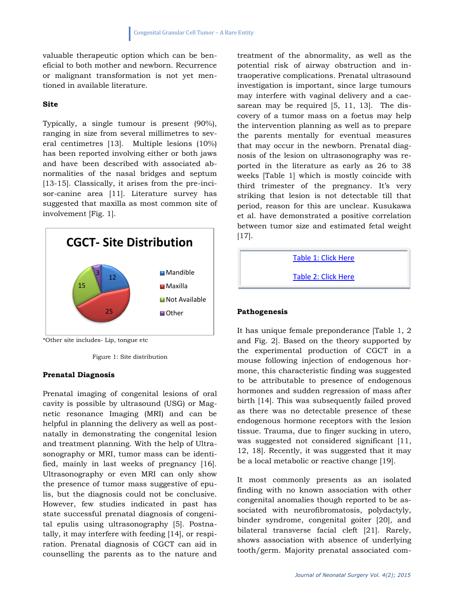valuable therapeutic option which can be beneficial to both mother and newborn. Recurrence or malignant transformation is not yet mentioned in available literature.

#### **Site**

Typically, a single tumour is present (90%), ranging in size from several millimetres to several centimetres [13]. Multiple lesions (10%) has been reported involving either or both jaws and have been described with associated abnormalities of the nasal bridges and septum [13-15]. Classically, it arises from the pre-incisor-canine area [11]. Literature survey has suggested that maxilla as most common site of involvement [Fig. 1].



\*Other site includes- Lip, tongue etc

Figure 1: Site distribution

#### **Prenatal Diagnosis**

Prenatal imaging of congenital lesions of oral cavity is possible by ultrasound (USG) or Magnetic resonance Imaging (MRI) and can be helpful in planning the delivery as well as postnatally in demonstrating the congenital lesion and treatment planning. With the help of Ultrasonography or MRI, tumor mass can be identified, mainly in last weeks of pregnancy [16]. Ultrasonography or even MRI can only show the presence of tumor mass suggestive of epulis, but the diagnosis could not be conclusive. However, few studies indicated in past has state successful prenatal diagnosis of congenital epulis using ultrasonography [5]. Postnatally, it may interfere with feeding [14], or respiration. Prenatal diagnosis of CGCT can aid in counselling the parents as to the nature and treatment of the abnormality, as well as the potential risk of airway obstruction and intraoperative complications. Prenatal ultrasound investigation is important, since large tumours may interfere with vaginal delivery and a caesarean may be required [5, 11, 13]. The discovery of a tumor mass on a foetus may help the intervention planning as well as to prepare the parents mentally for eventual measures that may occur in the newborn. Prenatal diagnosis of the lesion on ultrasonography was reported in the literature as early as 26 to 38 weeks [Table 1] which is mostly coincide with third trimester of the pregnancy. It's very striking that lesion is not detectable till that period, reason for this are unclear. Kusukawa et al. have demonstrated a positive correlation between tumor size and estimated fetal weight [17].

[Table 1: Click Here](http://jneonatalsurg.com/supp/jns-4-225-4.pdf)

[Table 2: Click Here](http://jneonatalsurg.com/supp/jns-4-225-5.pdf)

#### **Pathogenesis**

It has unique female preponderance [Table 1, 2 and Fig. 2]. Based on the theory supported by the experimental production of CGCT in a mouse following injection of endogenous hormone, this characteristic finding was suggested to be attributable to presence of endogenous hormones and sudden regression of mass after birth [14]. This was subsequently failed proved as there was no detectable presence of these endogenous hormone receptors with the lesion tissue. Trauma, due to finger sucking in utero, was suggested not considered significant [11, 12, 18]. Recently, it was suggested that it may be a local metabolic or reactive change [19].

It most commonly presents as an isolated finding with no known association with other congenital anomalies though reported to be associated with neurofibromatosis, polydactyly, binder syndrome, congenital goiter [20], and bilateral transverse facial cleft [21]. Rarely, shows association with absence of underlying tooth/germ. Majority prenatal associated com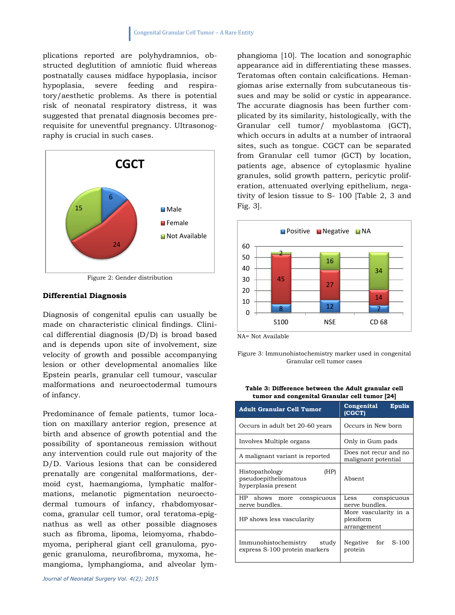plications reported are polyhydramnios, obstructed deglutition of amniotic fluid whereas postnatally causes midface hypoplasia, incisor hypoplasia, severe feeding and respiratory/aesthetic problems. As there is potential risk of neonatal respiratory distress, it was suggested that prenatal diagnosis becomes prerequisite for uneventful pregnancy. Ultrasonography is crucial in such cases.



Figure 2: Gender distribution

#### **Differential Diagnosis**

Diagnosis of congenital epulis can usually be made on characteristic clinical findings. Clinical differential diagnosis (D/D) is broad based and is depends upon site of involvement, size velocity of growth and possible accompanying lesion or other developmental anomalies like Epstein pearls, granular cell tumour, vascular malformations and neuroectodermal tumours of infancy.

Predominance of female patients, tumor location on maxillary anterior region, presence at birth and absence of growth potential and the possibility of spontaneous remission without any intervention could rule out majority of the D/D. Various lesions that can be considered prenatally are congenital malformations, dermoid cyst, haemangioma, lymphatic malformations, melanotic pigmentation neuroectodermal tumours of infancy, rhabdomyosarcoma, granular cell tumor, oral teratoma-epignathus as well as other possible diagnoses such as fibroma, lipoma, leiomyoma, rhabdomyoma, peripheral giant cell granuloma, pyogenic granuloma, neurofibroma, myxoma, hemangioma, lymphangioma, and alveolar lymphangioma [10]. The location and sonographic appearance aid in differentiating these masses. Teratomas often contain calcifications. Hemangiomas arise externally from subcutaneous tissues and may be solid or cystic in appearance. The accurate diagnosis has been further complicated by its similarity, histologically, with the Granular cell tumor/ myoblastoma (GCT), which occurs in adults at a number of intraoral sites, such as tongue. CGCT can be separated from Granular cell tumor (GCT) by location, patients age, absence of cytoplasmic hyaline granules, solid growth pattern, pericytic proliferation, attenuated overlying epithelium, negativity of lesion tissue to S- 100 [Table 2, 3 and Fig. 3].



NA= Not Available

Figure 3: Immunohistochemistry marker used in congenital Granular cell tumor cases

| Table 3: Difference between the Adult granular cell |
|-----------------------------------------------------|
| tumor and congenital Granular cell tumor [24]       |

| <b>Adult Granular Cell Tumor</b>                                       | Congenital<br><b>Epulis</b><br>(CGCT)             |
|------------------------------------------------------------------------|---------------------------------------------------|
| Occurs in adult bet 20-60 years                                        | Occurs in New born                                |
| Involves Multiple organs                                               | Only in Gum pads                                  |
| A malignant variant is reported                                        | Does not recur and no<br>malignant potential      |
| Histopathology<br>(HP)<br>pseudoepitheliomatous<br>hyperplasia present | Absent                                            |
| HP shows<br>conspicuous<br>more<br>nerve bundles.                      | Less<br>conspicuous<br>nerve bundles.             |
| HP shows less vascularity                                              | More vascularity in a<br>plexiform<br>arrangement |
| Immunohistochemistry<br>study<br>express S-100 protein markers         | Negative for<br>S-100<br>protein                  |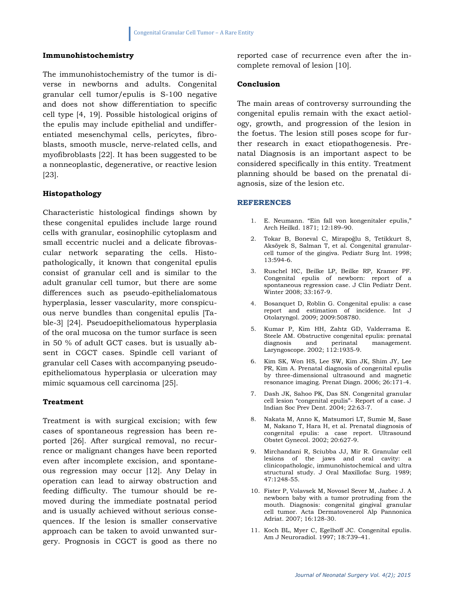### **Immunohistochemistry**

The immunohistochemistry of the tumor is diverse in newborns and adults. Congenital granular cell tumor/epulis is S-100 negative and does not show differentiation to specific cell type [4, 19]. Possible histological origins of the epulis may include epithelial and undifferentiated mesenchymal cells, pericytes, fibroblasts, smooth muscle, nerve-related cells, and myofibroblasts [22]. It has been suggested to be a nonneoplastic, degenerative, or reactive lesion [23].

#### **Histopathology**

Characteristic histological findings shown by these congenital epulides include large round cells with granular, eosinophilic cytoplasm and small eccentric nuclei and a delicate fibrovascular network separating the cells. Histopathologically, it known that congenital epulis consist of granular cell and is similar to the adult granular cell tumor, but there are some differences such as pseudo-epithelialomatous hyperplasia, lesser vascularity, more conspicuous nerve bundles than congenital epulis [Table-3] [24]. Pseudoepitheliomatous hyperplasia of the oral mucosa on the tumor surface is seen in 50 % of adult GCT cases. but is usually absent in CGCT cases. Spindle cell variant of granular cell Cases with accompanying pseudoepitheliomatous hyperplasia or ulceration may mimic squamous cell carcinoma [25].

#### **Treatment**

Treatment is with surgical excision; with few cases of spontaneous regression has been reported [26]. After surgical removal, no recurrence or malignant changes have been reported even after incomplete excision, and spontaneous regression may occur [12]. Any Delay in operation can lead to airway obstruction and feeding difficulty. The tumour should be removed during the immediate postnatal period and is usually achieved without serious consequences. If the lesion is smaller conservative approach can be taken to avoid unwanted surgery. Prognosis in CGCT is good as there no

reported case of recurrence even after the incomplete removal of lesion [10].

#### **Conclusion**

The main areas of controversy surrounding the congenital epulis remain with the exact aetiology, growth, and progression of the lesion in the foetus. The lesion still poses scope for further research in exact etiopathogenesis. Prenatal Diagnosis is an important aspect to be considered specifically in this entity. Treatment planning should be based on the prenatal diagnosis, size of the lesion etc.

#### **REFERENCES**

- 1. E. Neumann. "Ein fall von kongenitaler epulis," Arch Heilkd. 1871; 12:189–90.
- 2. Tokar B, Boneval C, Mirapoğlu S, Tetikkurt S, Aksöyek S, Salman T, et al. Congenital granularcell tumor of the gingiva. Pediatr Surg Int. 1998; 13:594-6.
- 3. Ruschel HC, Beilke LP, Beilke RP, Kramer PF. Congenital epulis of newborn: report of a spontaneous regression case. J Clin Pediatr Dent. Winter 2008; 33:167-9.
- 4. Bosanquet D, Roblin G. Congenital epulis: a case report and estimation of incidence. Int J Otolaryngol. 2009; 2009:508780.
- 5. Kumar P, Kim HH, Zahtz GD, Valderrama E. Steele AM. Obstructive congenital epulis: prenatal management. Laryngoscope. 2002; 112:1935-9.
- 6. Kim SK, Won HS, Lee SW, Kim JK, Shim JY, Lee PR, Kim A. Prenatal diagnosis of congenital epulis by three-dimensional ultrasound and magnetic resonance imaging. Prenat Diagn. 2006; 26:171-4.
- 7. Dash JK, Sahoo PK, Das SN. Congenital granular cell lesion "congenital epulis"- Report of a case. J Indian Soc Prev Dent. 2004; 22:63-7.
- 8. Nakata M, Anno K, Matsumori LT, Sumie M, Sase M, Nakano T, Hara H, et al. Prenatal diagnosis of congenital epulis: a case report. Ultrasound Obstet Gynecol. 2002; 20:627-9.
- 9. Mirchandani R, Sciubba JJ, Mir R. Granular cell lesions of the jaws and oral cavity: a clinicopathologic, immunohistochemical and ultra structural study. J Oral Maxillofac Surg. 1989; 47:1248-55.
- 10. Fister P, Volavsek M, Novosel Sever M, Jazbec J. A newborn baby with a tumor protruding from the mouth. Diagnosis: congenital gingival granular cell tumor. Acta Dermatovenerol Alp Pannonica Adriat. 2007; 16:128-30.
- 11. Koch BL, Myer C, Egelhoff JC. Congenital epulis. Am J Neuroradiol. 1997; 18:739–41.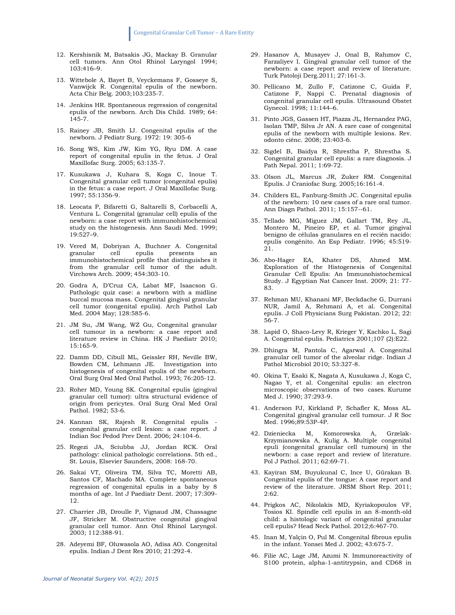- 12. Kershisnik M, Batsakis JG, Mackay B. Granular cell tumors. Ann Otol Rhinol Laryngol 1994; 103:416–9.
- 13. Wittebole A, Bayet B, Veyckemans F, Gosseye S, Vanwijck R. Congenital epulis of the newborn. Acta Chir Belg. 2003;103:235-7.
- 14. Jenkins HR. Spontaneous regression of congenital epulis of the newborn. Arch Dis Child. 1989; 64: 145-7.
- 15. Rainey JB, Smith IJ. Congenital epulis of the newborn. J Pediatr Surg. 1972: 19: 305-6
- 16. Song WS, Kim JW, Kim YG, Ryu DM. A case report of congenital epulis in the fetus. J Oral Maxillofac Surg. 2005; 63:135-7.
- 17. Kusukawa J, Kuhara S, Koga C, Inoue T. Congenital granular cell tumor (congenital epulis) in the fetus: a case report. J Oral Maxillofac Surg. 1997; 55:1356-9.
- 18. Leocata P, Bifaretti G, Saltarelli S, Corbacelli A, Ventura L. Congenital (granular cell) epulis of the newborn: a case report with immunohistochemical study on the histogenesis. Ann Saudi Med. 1999; 19:527–9.
- 19. Vered M, Dobriyan A, Buchner A. Congenital granular cell epulis presents an immunohistochemical profile that distinguishes it from the granular cell tumor of the adult. Virchows Arch. 2009; 454:303-10.
- 20. Godra A, D'Cruz CA, Labat MF, Isaacson G. Pathologic quiz case: a newborn with a midline buccal mucosa mass. Congenital gingival granular cell tumor (congenital epulis). Arch Pathol Lab Med. 2004 May; 128:585-6.
- 21. JM Su, JM Wang, WZ Gu, Congenital granular cell tumour in a newborn: a case report and literature review in China. HK J Paediatr 2010; 15:165-9.
- 22. Damm DD, Cibull ML, Geissler RH, Neville BW, Bowden CM, Lehmann JE. Investigation into histogenesis of congenital epulis of the newborn. Oral Surg Oral Med Oral Pathol. 1993; 76:205-12.
- 23. Roher MD, Young SK. Congenital epulis (gingival granular cell tumor): ultra structural evidence of origin from pericytes. Oral Surg Oral Med Oral Pathol. 1982; 53-6.
- 24. Kannan SK, Rajesh R. Congenital epulis congenital granular cell lesion: a case report. J Indian Soc Pedod Prev Dent. 2006; 24:104-6.
- 25. Regezi JA, Sciubba JJ, Jordan RCK. Oral pathology: clinical pathologic correlations. 5th ed., St. Louis, Elsevier Saunders, 2008: 168-70.
- 26. Sakai VT, Oliveira TM, Silva TC, Moretti AB, Santos CF, Machado MA. Complete spontaneous regression of congenital epulis in a baby by 8 months of age. Int J Paediatr Dent. 2007; 17:309- 12.
- 27. Charrier JB, Droulle P, Vignaud JM, Chassagne JF, Stricker M. Obstructive congenital gingival granular cell tumor. Ann Otol Rhinol Laryngol. 2003; 112:388-91.
- 28. Adeyemi BF, Oluwasola AO, Adisa AO. Congenital epulis. Indian J Dent Res 2010; 21:292-4.
- 29. Hasanov A, Musayev J, Onal B, Rahımov C, Farzaliyev I. Gingival granular cell tumor of the newborn: a case report and review of literature. Turk Patoloji Derg.2011; 27:161-3.
- 30. Pellicano M, Zullo F, Catizone C, Guida F, Catizone F, Nappi C. Prenatal diagnosis of congenital granular cell epulis. Ultrasound Obstet Gynecol. 1998; 11:144–6.
- 31. Pinto JGS, Gassen HT, Piazza JL, Hernandez PAG, Isolan TMP, Silva Jr AN. A rare case of congenital epulis of the newborn with multiple lesions. Rev. odonto ciênc. 2008; 23:403-6.
- 32. Sigdel B, Baidya R, Shrestha P, Shrestha S. Congenital granular cell epulis: a rare diagnosis. J Path Nepal. 2011; 1:69-72.
- 33. Olson JL, Marcus JR, Zuker RM. Congenital Epulis. J Craniofac Surg. 2005;16:161-4.
- 34. Childers EL, Fanburg-Smith JC. Congenital epulis of the newborn: 10 new cases of a rare oral tumor. Ann Diagn Pathol. 2011; 15:157--61.
- 35. Tellado MG, Míguez JM, Gallart TM, Rey JL, Montero M, Pineiro EP, et al. Tumor gingival benigno de células granulares en el recién nacido: epulis congénito. An Esp Pediatr. 1996; 45:519- 21.
- 36. Abo-Hager EA, Khater DS, Ahmed MM. Exploration of the Histogenesis of Congenital Granular Cell Epulis: An Immunohistochemical Study. J Egyptian Nat Cancer Inst. 2009; 21: 77- 83.
- 37. Rehman MU, Khanani MF, Beckdache G, Durrani NUR, Jamil A, Rehmani A, et al. Congenital epulis. J Coll Physicians Surg Pakistan. 2012; 22: 56-7.
- 38. Lapid O, Shaco-Levy R, Krieger Y, Kachko L, Sagi A. Congenital epulis. Pediatrics 2001;107 (2):E22.
- 39. Dhingra M, Pantola C, Agarwal A. Congenital granular cell tumor of the alveolar ridge. Indian J Pathol Microbiol 2010; 53:327-8.
- 40. Okina T, Esaki K, Nagata A, Kusukawa J, Koga C, Nagao Y, et al. Congenital epulis: an electron microscopic observations of two cases. Kurume Med J. 1990; 37:293-9.
- 41. Anderson PJ, Kirkland P, Schafler K, Moss AL. Congenital gingival granular cell tumour. J R Soc Med. 1996;89:53P-4P.
- 42. Dzieniecka M, Komorowska A, Grzelak-Krzymianowska A, Kulig A. Multiple congenital epuli (congenital granular cell tumours) in the newborn: a case report and review of literature. Pol J Pathol. 2011; 62:69-71.
- 43. Kayiran SM, Buyukunal C, Ince U, Gürakan B. Congenital epulis of the tongue: A case report and review of the literature. JRSM Short Rep. 2011; 2:62.
- 44. Prigkos AC, Nikolakis MD, Kyriakopoulos VF, Tosios KI. Spindle cell epulis in an 8-month-old child: a histologic variant of congenital granular cell epulis? Head Neck Pathol. 2012;6:467-70.
- 45. Inan M, Yalçin O, Pul M. Congenital fibrous epulis in the infant. Yonsei Med J. 2002; 43:675-7.
- 46. Filie AC, Lage JM, Azumi N. Immunoreactivity of S100 protein, alpha-1-antitrypsin, and CD68 in